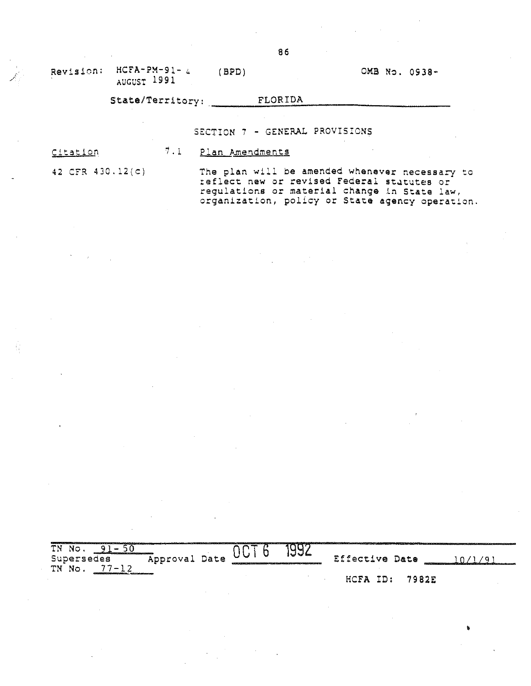Revision:  $HCFA-PM-91-4$ AUGUST 1991  $(BPD)$ 

## OMB No. 0938-

•

## State/Territory: FLORIDA

SECTION 7 - GENERAL PROVISIONS

Citation

1. 1 Plan Amendments

42 CFR 430.12(0)

The plan will be amended whenever necessary to reflect new or revised Federal statutes or regulations or material change in State law, organization, policy or State agency operation.

| <b>BERTHE</b><br>ΤN<br>No.      |               | - 100                                                                                                                                                                                                                          |       |                    |              |  |
|---------------------------------|---------------|--------------------------------------------------------------------------------------------------------------------------------------------------------------------------------------------------------------------------------|-------|--------------------|--------------|--|
| <b>COMPANY</b><br>Supersedes    | Approval Date | and the control of the control of the control of the control of the control of the control of the control of the control of the control of the control of the control of the control of the control of the control of the cont | '⊌Vlm | Effective Date     |              |  |
| ΤN<br>$\mathbf{w} = \mathbf{w}$ |               |                                                                                                                                                                                                                                |       |                    |              |  |
|                                 |               |                                                                                                                                                                                                                                |       | ID.<br><b>HCFA</b> | <b>7982E</b> |  |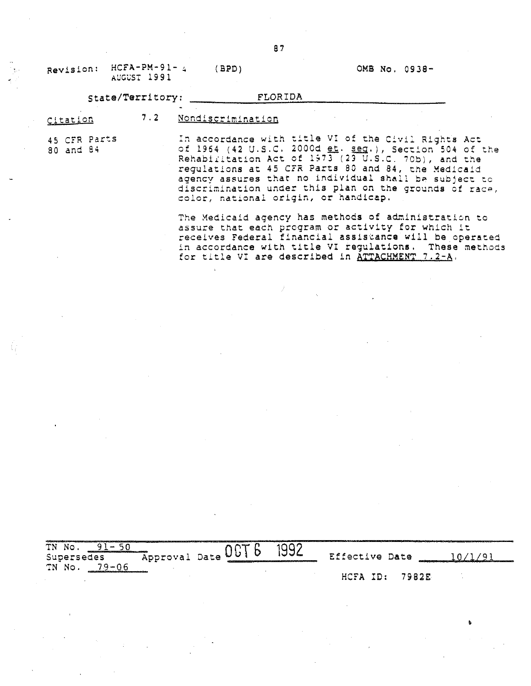| Revision:                 | $HCFA-PM-91-4$<br>AUGUST 1991 | BPD)              | OMB No. 0938-                                                                                                                                                                                                                                                                                                                                  |
|---------------------------|-------------------------------|-------------------|------------------------------------------------------------------------------------------------------------------------------------------------------------------------------------------------------------------------------------------------------------------------------------------------------------------------------------------------|
|                           | State/Territory:              | FLORIDA           |                                                                                                                                                                                                                                                                                                                                                |
| Citation                  | 7.2                           | Nondiscrimination |                                                                                                                                                                                                                                                                                                                                                |
| 45 CFR Parts<br>80 and 84 |                               |                   | In accordance with title VI of the Civil Rights Act<br>of 1964 (42 U.S.C. 2000d et. seq.), Section 504 of the<br>Rehabilitation Act of 1973 (23 U.S.C. 70b), and the<br>regulations at 45 CFR Parts 80 and 84, the Medicald<br>agency assures that no individual shall be subject to<br>discrimination under this plan on the grounds of race, |

color, national origin, or handicap.

The Medicaid agency has methods of administration to assure that each program or activity for which it receives Federal financial assistance will be operated in accordance with title VI regulations. These methods In accordance with trine vi regulations: these

| TN No<br>Supersedes<br>79-06 | Approval Date | UV! | 1992<br>ver verstammen er statten und der bestände in der Englische Verschieden der Statte des Englischen Englischen | Effective Date |       |  |
|------------------------------|---------------|-----|----------------------------------------------------------------------------------------------------------------------|----------------|-------|--|
| TN No.                       |               |     |                                                                                                                      | HCFA ID:       | 79825 |  |

•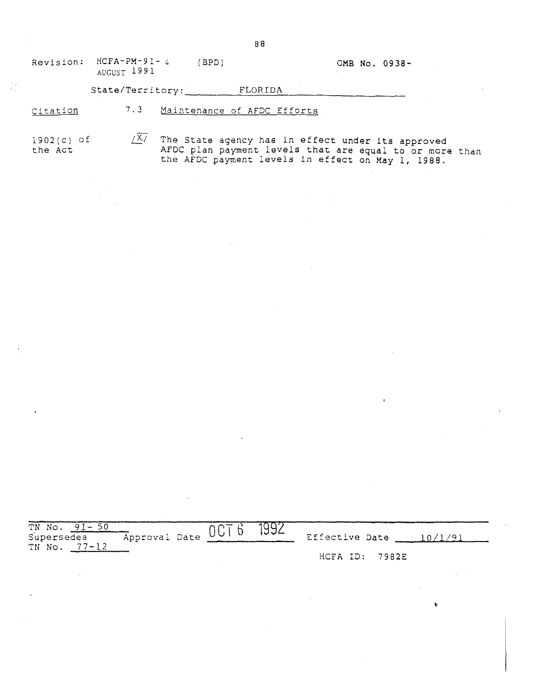| Revision: | $HCFA-PM-91-4$<br>AUGUST 1991 | 'BPD)                       | OMB No. 0938- |  |
|-----------|-------------------------------|-----------------------------|---------------|--|
|           | State/Territory:              | FLORIDA                     |               |  |
| Citation  | 7.3                           | Maintenance of AFDC Efforts |               |  |

1902(c) of **the Act**  $\sqrt{X/2}$  The State agency has in effect under its approved AFDC plan payment levels that are equal to or more than the AFDC payment levels in effect on May 1, 1988.

| $91 -$<br>TN No.<br>Supersedes<br>$77 - 12$<br>TN No.               | Approval Date | 1004000<br>001 | 1992 | Effective Date |       |
|---------------------------------------------------------------------|---------------|----------------|------|----------------|-------|
| an assumed the pressure assumed to this the surgence as a character |               |                |      | HCFA ID:       | 7982E |

•